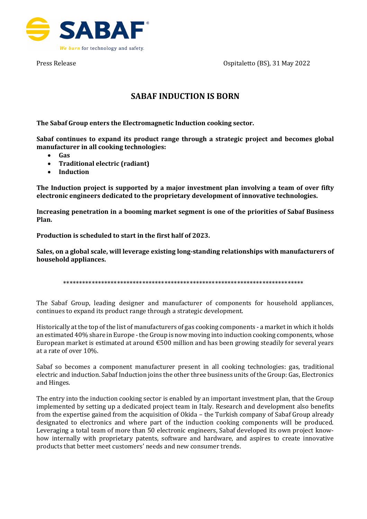



## **SABAF INDUCTION IS BORN**

**The Sabaf Group enters the Electromagnetic Induction cooking sector.**

**Sabaf continues to expand its product range through a strategic project and becomes global manufacturer in all cooking technologies:** 

- **Gas**
- **Traditional electric (radiant)**
- **Induction**

**The Induction project is supported by a major investment plan involving a team of over fifty electronic engineers dedicated to the proprietary development of innovative technologies.**

**Increasing penetration in a booming market segment is one of the priorities of Sabaf Business Plan.** 

**Production is scheduled to start in the first half of 2023.** 

**Sales, on a global scale, will leverage existing long-standing relationships with manufacturers of household appliances.** 

\*\*\*\*\*\*\*\*\*\*\*\*\*\*\*\*\*\*\*\*\*\*\*\*\*\*\*\*\*\*\*\*\*\*\*\*\*\*\*\*\*\*\*\*\*\*\*\*\*\*\*\*\*\*\*\*\*\*\*\*\*\*\*\*\*\*\*\*\*\*\*\*\*\*\*\*

The Sabaf Group, leading designer and manufacturer of components for household appliances, continues to expand its product range through a strategic development.

Historically at the top of the list of manufacturers of gas cooking components - a market in which it holds an estimated 40% share in Europe - the Group is now moving into induction cooking components, whose European market is estimated at around  $\epsilon$ 500 million and has been growing steadily for several years at a rate of over 10%.

Sabaf so becomes a component manufacturer present in all cooking technologies: gas, traditional electric and induction. Sabaf Induction joins the other three business units of the Group: Gas, Electronics and Hinges.

The entry into the induction cooking sector is enabled by an important investment plan, that the Group implemented by setting up a dedicated project team in Italy. Research and development also benefits from the expertise gained from the acquisition of Okida – the Turkish company of Sabaf Group already designated to electronics and where part of the induction cooking components will be produced. Leveraging a total team of more than 50 electronic engineers, Sabaf developed its own project knowhow internally with proprietary patents, software and hardware, and aspires to create innovative products that better meet customers' needs and new consumer trends.